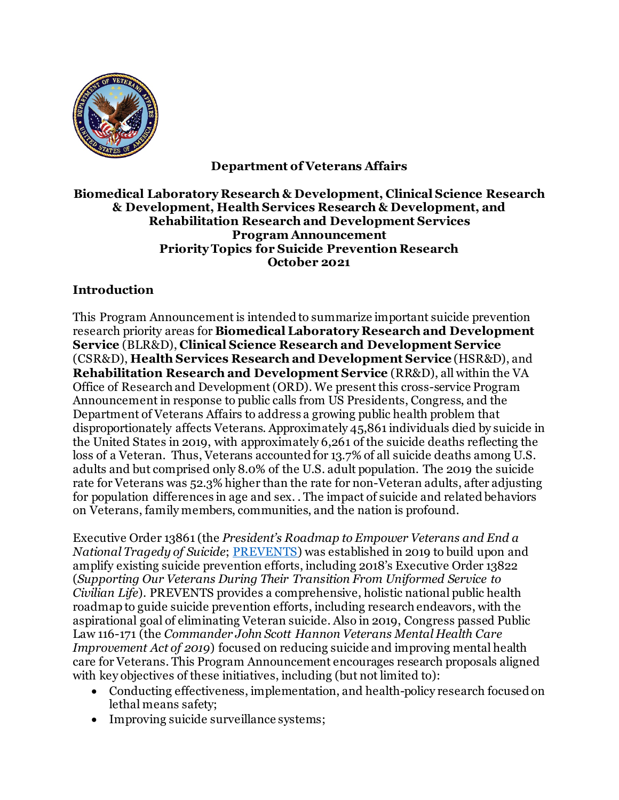

**Department of Veterans Affairs**

## **Biomedical Laboratory Research & Development, Clinical Science Research & Development, Health Services Research & Development, and Rehabilitation Research and Development Services Program Announcement Priority Topics for Suicide Prevention Research October 2021**

## **Introduction**

This Program Announcement is intended to summarize important suicide prevention research priority areas for **Biomedical Laboratory Research and Development Service** (BLR&D), **Clinical Science Research and Development Service** (CSR&D), **Health Services Research and Development Service** (HSR&D), and **Rehabilitation Research and Development Service** (RR&D), all within the VA Office of Research and Development (ORD). We present this cross-service Program Announcement in response to public calls from US Presidents, Congress, and the Department of Veterans Affairs to address a growing public health problem that disproportionately affects Veterans. Approximately 45,861 individuals died by suicide in the United States in 2019, with approximately 6,261 of the suicide deaths reflecting the loss of a Veteran. Thus, Veterans accounted for 13.7% of all suicide deaths among U.S. adults and but comprised only 8.0% of the U.S. adult population. The 2019 the suicide rate for Veterans was 52.3% higher than the rate for non-Veteran adults, after adjusting for population differences in age and sex. . The impact of suicide and related behaviors on Veterans, family members, communities, and the nation is profound.

Executive Order 13861 (the *President's Roadmap to Empower Veterans and End a National Tragedy of Suicide*; [PREVENTS\)](https://www.va.gov/PREVENTS/docs/PRE-007-The-PREVENTS-Roadmap-12_508.pdf)) was established in 2019 to build upon and amplify existing suicide prevention efforts, including 2018's Executive Order 13822 (*Supporting Our Veterans During Their Transition From Uniformed Service to Civilian Life*). PREVENTS provides a comprehensive, holistic national public health roadmap to guide suicide prevention efforts, including research endeavors, with the aspirational goal of eliminating Veteran suicide. Also in 2019, Congress passed Public Law 116-171 (the *Commander John Scott Hannon Veterans Mental Health Care Improvement Act of 2019*) focused on reducing suicide and improving mental health care for Veterans. This Program Announcement encourages research proposals aligned with key objectives of these initiatives, including (but not limited to):

- Conducting effectiveness, implementation, and health-policy research focused on lethal means safety;
- Improving suicide surveillance systems;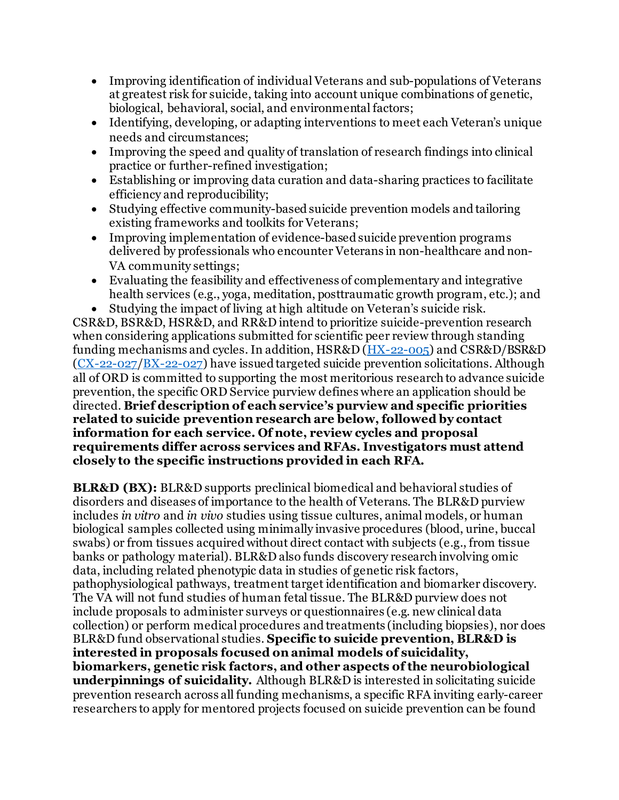- Improving identification of individual Veterans and sub-populations of Veterans at greatest risk for suicide, taking into account unique combinations of genetic, biological, behavioral, social, and environmental factors;
- Identifying, developing, or adapting interventions to meet each Veteran's unique needs and circumstances;
- Improving the speed and quality of translation of research findings into clinical practice or further-refined investigation;
- Establishing or improving data curation and data-sharing practices to facilitate efficiency and reproducibility;
- Studying effective community-based suicide prevention models and tailoring existing frameworks and toolkits for Veterans;
- Improving implementation of evidence-based suicide prevention programs delivered by professionals who encounter Veterans in non-healthcare and non-VA community settings;
- Evaluating the feasibility and effectiveness of complementary and integrative health services (e.g., yoga, meditation, posttraumatic growth program, etc.); and
- Studying the impact of living at high altitude on Veteran's suicide risk.

CSR&D, BSR&D, HSR&D, and RR&D intend to prioritize suicide-prevention research when considering applications submitted for scientific peer review through standing funding mechanisms and cycles. In addition, HSR&D [\(HX-22-005\)](https://vaww.research.va.gov/funding/rfa.cfm) and CSR&D/BSR&D [\(CX-22-027/BX-22-027\)](https://www.research.va.gov/funding/rfa.cfm) have issued targeted suicide prevention solicitations. Although all of ORD is committed to supporting the most meritorious research to advance suicide prevention, the specific ORD Service purview defines where an application should be directed. **Brief description of each service's purview and specific priorities related to suicide prevention research are below, followed by contact information for each service. Of note, review cycles and proposal requirements differ across services and RFAs. Investigators must attend closely to the specific instructions provided in each RFA.**

**BLR&D (BX):** BLR&D supports preclinical biomedical and behavioral studies of disorders and diseases of importance to the health of Veterans. The BLR&D purview includes *in vitro* and *in vivo* studies using tissue cultures, animal models, or human biological samples collected using minimally invasive procedures (blood, urine, buccal swabs) or from tissues acquired without direct contact with subjects (e.g., from tissue banks or pathology material). BLR&D also funds discovery research involving omic data, including related phenotypic data in studies of genetic risk factors, pathophysiological pathways, treatment target identification and biomarker discovery. The VA will not fund studies of human fetal tissue. The BLR&D purview does not include proposals to administer surveys or questionnaires (e.g. new clinical data collection) or perform medical procedures and treatments (including biopsies), nor does BLR&D fund observational studies. **Specific to suicide prevention, BLR&D is interested in proposals focused on animal models of suicidality, biomarkers, genetic risk factors, and other aspects of the neurobiological underpinnings of suicidality.** Although BLR&D is interested in solicitating suicide prevention research across all funding mechanisms, a specific RFA inviting early-career researchers to apply for mentored projects focused on suicide prevention can be found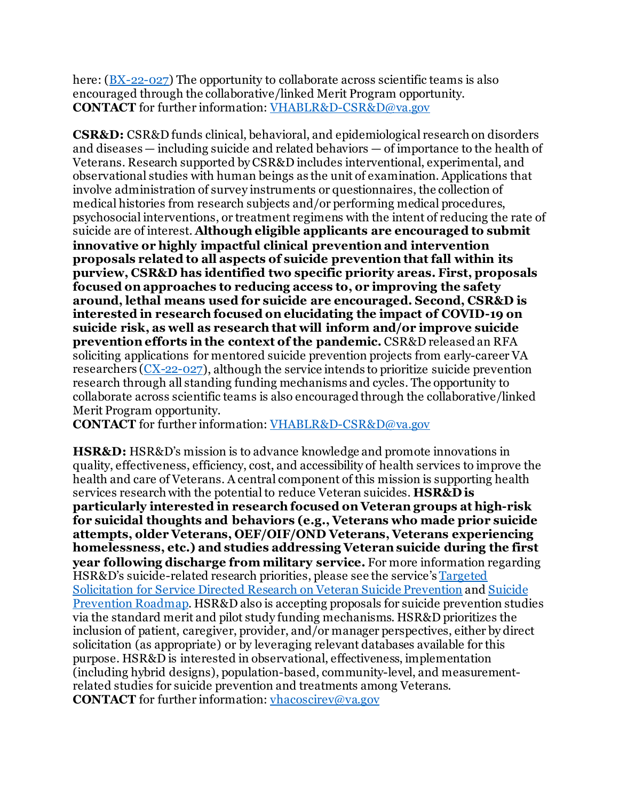here: ( $\underline{BX-22-027}$ ) The opportunity to collaborate across scientific teams is also encouraged through the collaborative/linked Merit Program opportunity. **CONTACT** for further information[: VHABLR&D-CSR&D@va.gov](mailto:VHABLRD-CSRD@va.gov)

**CSR&D:** CSR&D funds clinical, behavioral, and epidemiological research on disorders and diseases — including suicide and related behaviors — of importance to the health of Veterans. Research supported by CSR&D includes interventional, experimental, and observational studies with human beings as the unit of examination. Applications that involve administration of survey instruments or questionnaires, the collection of medical histories from research subjects and/or performing medical procedures, psychosocial interventions, or treatment regimens with the intent of reducing the rate of suicide are of interest. **Although eligible applicants are encouraged to submit innovative or highly impactful clinical prevention and intervention proposals related to all aspects of suicide prevention that fall within its purview, CSR&D has identified two specific priority areas. First, proposals focused on approaches to reducing access to, or improving the safety around, lethal means used for suicide are encouraged. Second, CSR&D is interested in research focused on elucidating the impact of COVID-19 on suicide risk, as well as research that will inform and/or improve suicide prevention efforts in the context of the pandemic.** CSR&D released an RFA soliciting applications for mentored suicide prevention projects from early-career VA researchers [\(CX-22-027\)](https://www.research.va.gov/funding/rfa.cfm), although the service intends to prioritize suicide prevention research through all standing funding mechanisms and cycles. The opportunity to collaborate across scientific teams is also encouraged through the collaborative/linked Merit Program opportunity.

**CONTACT** for further information[: VHABLR&D-CSR&D@va.gov](mailto:VHABLRD-CSRD@va.gov)

**HSR&D:** HSR&D's mission is to advance knowledge and promote innovations in quality, effectiveness, efficiency, cost, and accessibility of health services to improve the health and care of Veterans. A central component of this mission is supporting health services research with the potential to reduce Veteran suicides. **HSR&D is particularly interested in research focused on Veteran groups at high-risk for suicidal thoughts and behaviors (e.g., Veterans who made prior suicide attempts, older Veterans, OEF/OIF/OND Veterans, Veterans experiencing homelessness, etc.) and studies addressing Veteran suicide during the first year following discharge from military service.** For more information regarding HSR&D's suicide-related research priorities, please see the service's [Targeted](https://vaww.research.va.gov/funding/rfa.cfm)  [Solicitation for Service Directed Research on Veteran Suicide Prevention](https://vaww.research.va.gov/funding/rfa.cfm) an[d Suicide](https://www.hsrd.research.va.gov/HSRD-Suicide-Prevention-Roadmap.pdf)  [Prevention Roadmap.](https://www.hsrd.research.va.gov/HSRD-Suicide-Prevention-Roadmap.pdf) HSR&D also is accepting proposals for suicide prevention studies via the standard merit and pilot study funding mechanisms. HSR&D prioritizes the inclusion of patient, caregiver, provider, and/or manager perspectives, either by direct solicitation (as appropriate) or by leveraging relevant databases available for this purpose. HSR&D is interested in observational, effectiveness, implementation (including hybrid designs), population-based, community-level, and measurementrelated studies for suicide prevention and treatments among Veterans. **CONTACT** for further information[: vhacoscirev@va.gov](mailto:vhacoscirev@va.gov)